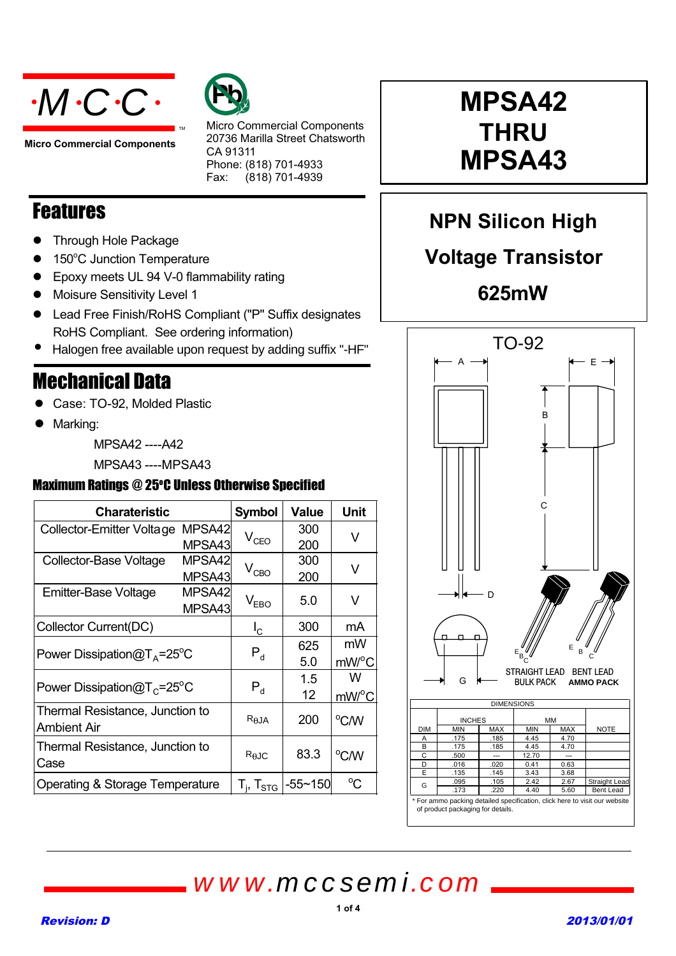



**Micro Commercial Components**

Micro Commercial Components 20736 Marilla Street Chatsworth CA 91311 Phone: (818) 701-4933 Fax:  $(818)$  701-4939

### Features

- **•** Through Hole Package
- 150°C Junction Temperature
- Epoxy meets UL 94 V-0 flammability rating
- Moisure Sensitivity Level 1
- Lead Free Finish/RoHS Compliant ("P" Suffix designates RoHS Compliant. See ordering information)
- Halogen free available upon request by adding suffix "-HF"

### Mechanical Data

- Case: TO-92, Molded Plastic
- Marking:

MPSA42 ----A42

MPSA43 ----MPSA43

### Maximum Ratings @ 25°C Unless Otherwise Specified

| <b>Charateristic</b>                           |        | <b>Symbol</b>     | <b>Value</b> | Unit        |  |
|------------------------------------------------|--------|-------------------|--------------|-------------|--|
| MPSA42<br>Collector-Emitter Voltage<br>MPSA43  |        |                   | 300          | V           |  |
|                                                |        | $V_{CEO}$         | 200          |             |  |
| MPSA42<br>Collector-Base Voltage               |        |                   | 300          | V           |  |
|                                                | MPSA43 | $V_{CBO}$         | 200          |             |  |
| MPSA42<br><b>Emitter-Base Voltage</b>          |        |                   | 5.0          | V           |  |
|                                                | MPSA43 | $V_{EBO}$         |              |             |  |
| Collector Current(DC)                          |        | $I_{\rm C}$       | 300          | mA          |  |
| Power Dissipation $@TA=25^{\circ}C$            |        |                   | 625          | mW          |  |
|                                                |        | $P_{d}$           | 5.0          | mW/°C       |  |
| Power Dissipation $@T_c = 25^\circ C$          |        |                   | 1.5          | w           |  |
|                                                |        | $P_{d}$           | 12           | mW/°C       |  |
| Thermal Resistance, Junction to<br>Ambient Air |        | $R_{\theta$ JA    | 200          | °C/W        |  |
| Thermal Resistance, Junction to<br>Case        |        | $R_{\theta$ JC    | 83.3         | °C/W        |  |
| Operating & Storage Temperature                |        | $T_i$ , $T_{STG}$ | $-55 - 150$  | $^{\circ}C$ |  |

# **MPSA42 MPSA43 MPSA43**

**NPN Silicon High** 

# **Voltage Transistor**

**625mW**



of product packaging for details.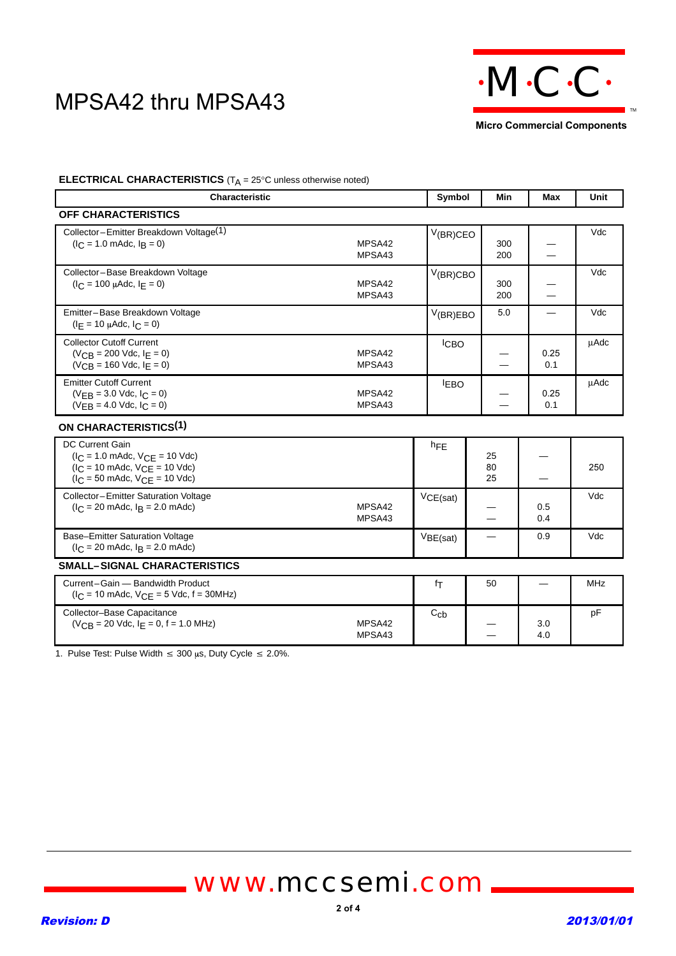

**Micro Commercial Components**

#### **ELECTRICAL CHARACTERISTICS** (T<sub>A</sub> = 25°C unless otherwise noted)

| <b>Characteristic</b>                                                                                                                                                                                 |                  | Symbol            | Min                      | <b>Max</b>               | Unit        |
|-------------------------------------------------------------------------------------------------------------------------------------------------------------------------------------------------------|------------------|-------------------|--------------------------|--------------------------|-------------|
| OFF CHARACTERISTICS                                                                                                                                                                                   |                  |                   |                          |                          |             |
| Collector-Emitter Breakdown Voltage(1)<br>$(IC = 1.0$ mAdc, $IB = 0)$                                                                                                                                 | MPSA42<br>MPSA43 | $V$ (BR)CEO       | 300<br>200               | $\overline{\phantom{0}}$ | Vdc         |
| Collector-Base Breakdown Voltage<br>$(I_C = 100 \mu A d c, I_E = 0)$                                                                                                                                  | MPSA42<br>MPSA43 | V(BR)CBO          | 300<br>200               |                          | Vdc         |
| Emitter-Base Breakdown Voltage<br>$(I_F = 10 \mu A dc, I_C = 0)$                                                                                                                                      |                  | V(BR)EBO          | 5.0                      |                          | Vdc         |
| <b>Collector Cutoff Current</b><br>$(V_{CR} = 200$ Vdc, $I_F = 0$ )<br>$(VCB = 160$ Vdc, $I_E = 0)$                                                                                                   | MPSA42<br>MPSA43 | <b>CBO</b>        |                          | 0.25<br>0.1              | <b>uAdc</b> |
| <b>Emitter Cutoff Current</b><br>$(VFR = 3.0$ Vdc, $C = 0$<br>$(VFB = 4.0$ Vdc, $C = 0$                                                                                                               | MPSA42<br>MPSA43 | <b>LEBO</b>       |                          | 0.25<br>0.1              | μAdc        |
| <b>ON CHARACTERISTICS(1)</b>                                                                                                                                                                          |                  |                   |                          |                          |             |
| <b>DC Current Gain</b><br>$(I_C = 1.0 \text{ m}$ Adc, $V_{CE} = 10 \text{ V}$ dc)<br>$(I_C = 10 \text{ m}$ Adc, $V_{CE} = 10 \text{ V}$ dc)<br>$(I_C = 50 \text{ m}$ Adc, $V_{CE} = 10 \text{ V}$ dc) |                  | $h_{FE}$          | 25<br>80<br>25           |                          | 250         |
| Collector-Emitter Saturation Voltage<br>$I_C = 20$ mAdc, $I_R = 2.0$ mAdc)                                                                                                                            | MPSA42<br>MPSA43 | VCE(sat)          |                          | 0.5<br>0.4               | Vdc         |
| <b>Base-Emitter Saturation Voltage</b><br>$(l_C = 20 \text{ m}$ Adc, $l_B = 2.0 \text{ m}$ Adc)                                                                                                       |                  | VBE(sat)          | $\overline{\phantom{0}}$ | 0.9                      | Vdc         |
| <b>SMALL-SIGNAL CHARACTERISTICS</b>                                                                                                                                                                   |                  |                   |                          |                          |             |
| Current-Gain - Bandwidth Product<br>$I_C = 10$ mAdc, $V_{C}F = 5$ Vdc, $f = 30$ MHz)                                                                                                                  |                  | fτ                | 50                       |                          | <b>MHz</b>  |
| Collector-Base Capacitance<br>$(VCB = 20$ Vdc, $I_E = 0$ , $f = 1.0$ MHz)                                                                                                                             | MPSA42<br>MPSA43 | $C_{\mathsf{Cb}}$ |                          | 3.0<br>4.0               | pF          |

1. Pulse Test: Pulse Width  $\leq 300 \,\mu s$ , Duty Cycle  $\leq 2.0\%$ .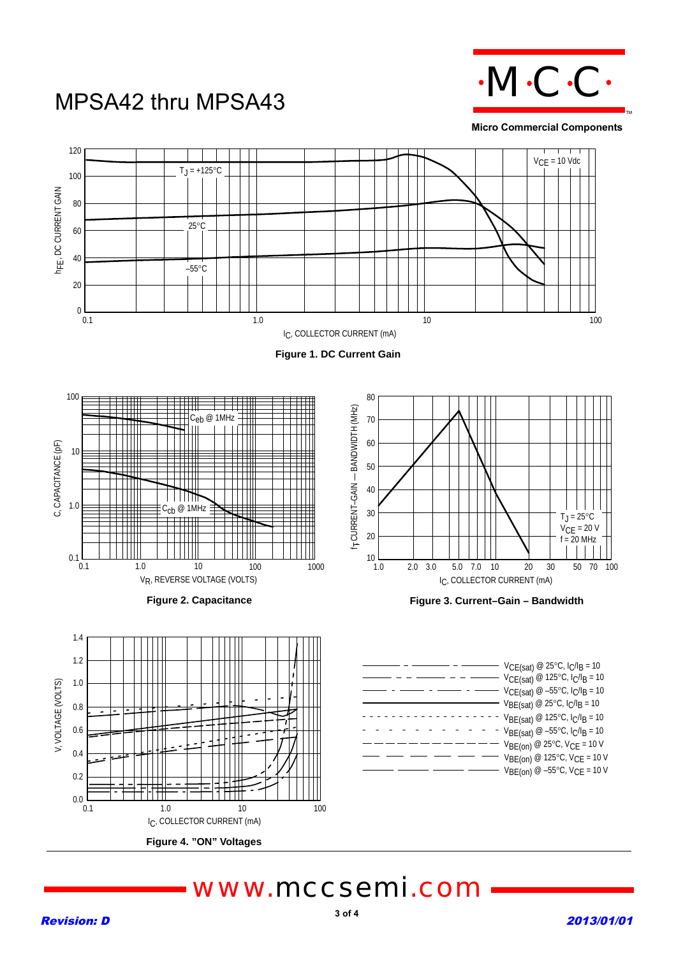

**Micro Commercial Components**